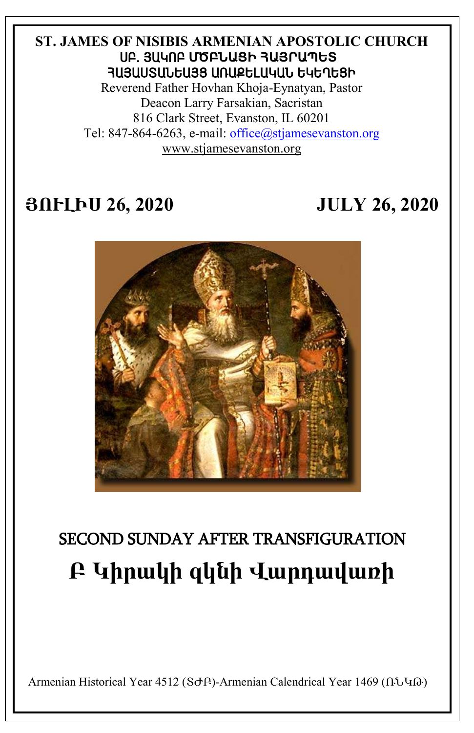## **ST. JAMES OF NISIBIS ARMENIAN APOSTOLIC CHURCH** ê´. Ú²Îà´ **ՄԾԲՆԱՑԻ ՀԱՅՐԱՊԵՏ** ՅԱՅԱՍՏԱՆԵԱՅՑ ԱՌԱՔԵԼԱԿԱՆ ԵԿԵՂԵՑԻ

Reverend Father Hovhan Khoja-Eynatyan, Pastor Deacon Larry Farsakian, Sacristan 816 Clark Street, Evanston, IL 60201 Tel: 847-864-6263, e-mail: [office@stjamesevanston.org](mailto:office@stjamesevanston.org) [www.stjamesevanston.org](http://www.stjamesevanston.org/)

## **ՅՈՒԼԻՍ 26, 2020 JULY 26, 2020**



# SECOND SUNDAY AFTER TRANSFIGURATION **Բ Կիրակի զկնի Վարդավառի**

Armenian Historical Year 4512 (ՏԺԲ)-Armenian Calendrical Year 1469 (ՌՆԿԹ)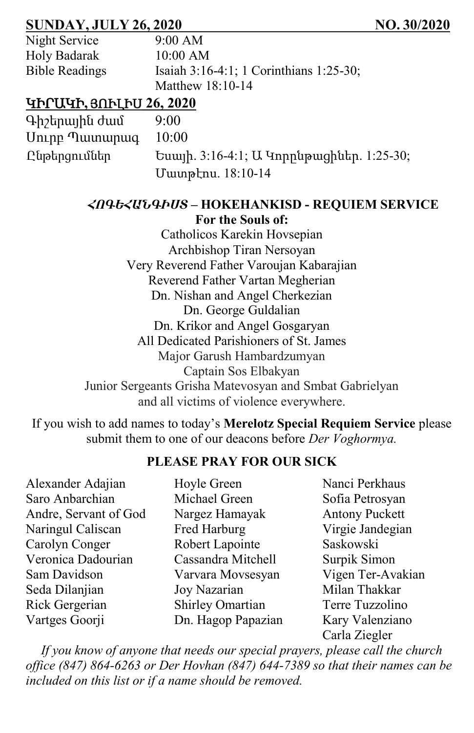## **SUNDAY, JULY 26, 2020 NO. 30/2020**

| Night Service         |  |
|-----------------------|--|
| Holy Badarak          |  |
| <b>Bible Readings</b> |  |

 $9:00$  AM  $10:00$  AM Isaiah 3:16-4:1; 1 Corinthians 1:25-30; Matthew 18:10-14

## ԿԻՐԱԿԻ**,** ՅՈՒԼԻՍ **26, 2020**

Գիշերային ժամ 9:00 Սուրբ Պատարագ 10:00

 $\Omega$ նթերցումներ Եսայի. 3:16-4:1; Ա Կորընթացիներ. 1:25-30; Մատթէոս. 18:10-14

## *ՀՈԳԵՀԱՆԳԻՍՏ* **– HOKEHANKISD - REQUIEM SERVICE For the Souls of:**

Catholicos Karekin Hovsepian Archbishop Tiran Nersoyan Very Reverend Father Varoujan Kabarajian Reverend Father Vartan Megherian Dn. Nishan and Angel Cherkezian Dn. George Guldalian Dn. Krikor and Angel Gosgaryan All Dedicated Parishioners of St. James Major Garush Hambardzumyan Captain Sos Elbakyan Junior Sergeants Grisha Matevosyan and Smbat Gabrielyan and all victims of violence everywhere.

If you wish to add names to today's **Merelotz Special Requiem Service** please submit them to one of our deacons before *Der Voghormya.*

## **PLEASE PRAY FOR OUR SICK**

Alexander Adajian Saro Anbarchian Andre, Servant of God Naringul Caliscan Carolyn Conger Veronica Dadourian Sam Davidson Seda Dilanjian Rick Gergerian Vartges Goorji

Hoyle Green Michael Green Nargez Hamayak Fred Harburg Robert Lapointe Cassandra Mitchell Varvara Movsesyan Joy Nazarian Shirley Omartian Dn. Hagop Papazian

Nanci Perkhaus Sofia Petrosyan Antony Puckett Virgie Jandegian Saskowski Surpik Simon Vigen Ter-Avakian Milan Thakkar Terre Tuzzolino Kary Valenziano Carla Ziegler

*If you know of anyone that needs our special prayers, please call the church office (847) 864-6263 or Der Hovhan (847) 644-7389 so that their names can be included on this list or if a name should be removed.*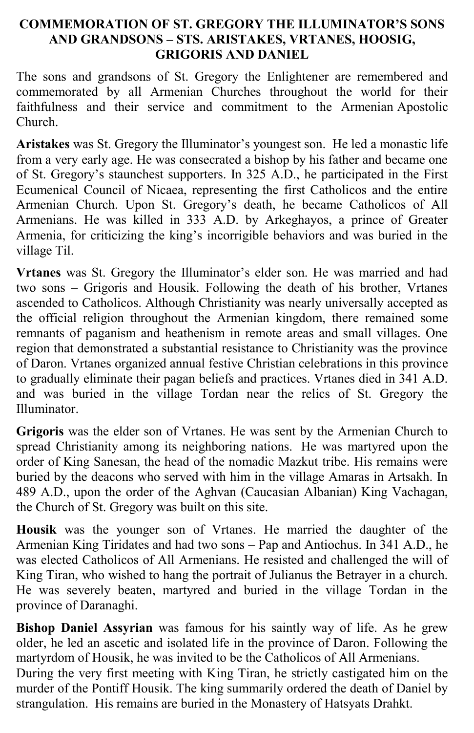### **COMMEMORATION OF ST. GREGORY THE ILLUMINATOR'S SONS AND GRANDSONS – STS. ARISTAKES, VRTANES, HOOSIG, GRIGORIS AND DANIEL**

The sons and grandsons of St. Gregory the Enlightener are remembered and commemorated by all Armenian Churches throughout the world for their faithfulness and their service and commitment to the Armenian Apostolic Church.

**Aristakes** was St. Gregory the Illuminator's youngest son. He led a monastic life from a very early age. He was consecrated a bishop by his father and became one of St. Gregory's staunchest supporters. In 325 A.D., he participated in the First Ecumenical Council of Nicaea, representing the first Catholicos and the entire Armenian Church. Upon St. Gregory's death, he became Catholicos of All Armenians. He was killed in 333 A.D. by Arkeghayos, a prince of Greater Armenia, for criticizing the king's incorrigible behaviors and was buried in the village Til.

**Vrtanes** was St. Gregory the Illuminator's elder son. He was married and had two sons – Grigoris and Housik. Following the death of his brother, Vrtanes ascended to Catholicos. Although Christianity was nearly universally accepted as the official religion throughout the Armenian kingdom, there remained some remnants of paganism and heathenism in remote areas and small villages. One region that demonstrated a substantial resistance to Christianity was the province of Daron. Vrtanes organized annual festive Christian celebrations in this province to gradually eliminate their pagan beliefs and practices. Vrtanes died in 341 A.D. and was buried in the village Tordan near the relics of St. Gregory the Illuminator.

**Grigoris** was the elder son of Vrtanes. He was sent by the Armenian Church to spread Christianity among its neighboring nations. He was martyred upon the order of King Sanesan, the head of the nomadic Mazkut tribe. His remains were buried by the deacons who served with him in the village Amaras in Artsakh. In 489 A.D., upon the order of the Aghvan (Caucasian Albanian) King Vachagan, the Church of St. Gregory was built on this site.

**Housik** was the younger son of Vrtanes. He married the daughter of the Armenian King Tiridates and had two sons – Pap and Antiochus. In 341 A.D., he was elected Catholicos of All Armenians. He resisted and challenged the will of King Tiran, who wished to hang the portrait of Julianus the Betrayer in a church. He was severely beaten, martyred and buried in the village Tordan in the province of Daranaghi.

**Bishop Daniel Assyrian** was famous for his saintly way of life. As he grew older, he led an ascetic and isolated life in the province of Daron. Following the martyrdom of Housik, he was invited to be the Catholicos of All Armenians. During the very first meeting with King Tiran, he strictly castigated him on the murder of the Pontiff Housik. The king summarily ordered the death of Daniel by

strangulation. His remains are buried in the Monastery of Hatsyats Drahkt.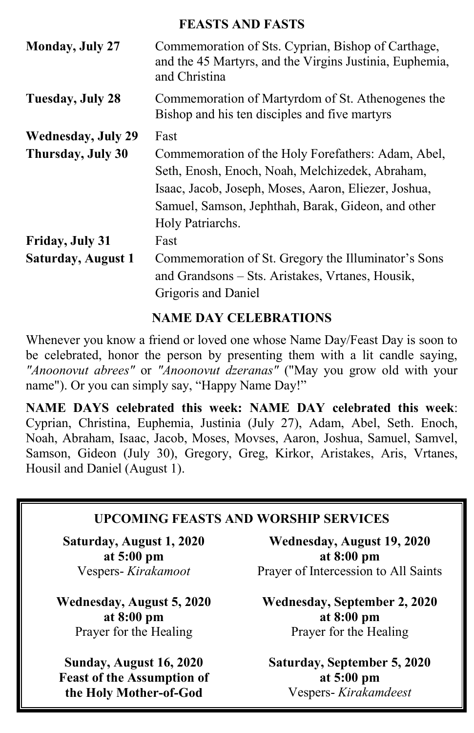### **FEASTS AND FASTS**

| <b>Monday, July 27</b>    | Commemoration of Sts. Cyprian, Bishop of Carthage,<br>and the 45 Martyrs, and the Virgins Justinia, Euphemia,<br>and Christina                                                                                      |
|---------------------------|---------------------------------------------------------------------------------------------------------------------------------------------------------------------------------------------------------------------|
| Tuesday, July 28          | Commemoration of Martyrdom of St. Athenogenes the<br>Bishop and his ten disciples and five martyrs                                                                                                                  |
| <b>Wednesday, July 29</b> | Fast                                                                                                                                                                                                                |
| Thursday, July 30         | Commemoration of the Holy Forefathers: Adam, Abel,<br>Seth, Enosh, Enoch, Noah, Melchizedek, Abraham,<br>Isaac, Jacob, Joseph, Moses, Aaron, Eliezer, Joshua,<br>Samuel, Samson, Jephthah, Barak, Gideon, and other |
|                           | Holy Patriarchs.                                                                                                                                                                                                    |
| Friday, July 31           | Fast                                                                                                                                                                                                                |
| <b>Saturday, August 1</b> | Commemoration of St. Gregory the Illuminator's Sons<br>and Grandsons – Sts. Aristakes, Vrtanes, Housik,<br>Grigoris and Daniel                                                                                      |

## **NAME DAY CELEBRATIONS**

Whenever you know a friend or loved one whose Name Day/Feast Day is soon to be celebrated, honor the person by presenting them with a lit candle saying, *"Anoonovut abrees"* or *"Anoonovut dzeranas"* ("May you grow old with your name"). Or you can simply say, "Happy Name Day!"

**NAME DAYS celebrated this week: NAME DAY celebrated this week**: Cyprian, Christina, Euphemia, Justinia (July 27), Adam, Abel, Seth. Enoch, Noah, Abraham, Isaac, Jacob, Moses, Movses, Aaron, Joshua, Samuel, Samvel, Samson, Gideon (July 30), Gregory, Greg, Kirkor, Aristakes, Aris, Vrtanes, Housil and Daniel (August 1).

## **UPCOMING FEASTS AND WORSHIP SERVICES**

**Saturday, August 1, 2020 at 5:00 pm** Vespers- *Kirakamoot*

**Wednesday, August 5, 2020 at 8:00 pm** Prayer for the Healing

**Sunday, August 16, 2020 Feast of the Assumption of the Holy Mother-of-God**

**Wednesday, August 19, 2020 at 8:00 pm** Prayer of Intercession to All Saints

**Wednesday, September 2, 2020 at 8:00 pm** Prayer for the Healing

**Saturday, September 5, 2020 at 5:00 pm**  Vespers- *Kirakamdeest*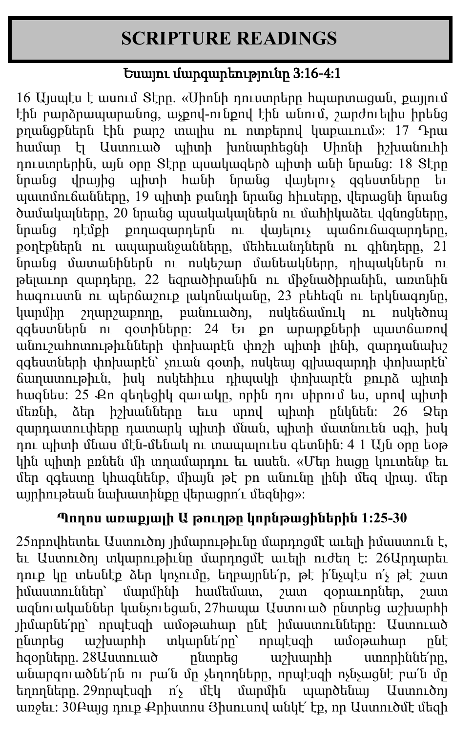## **SCRIPTURE READINGS**

## Եսայու մարգարեությունը 3:16-4:1

16 Այսպէս է ասում Տէրը. «Սիոնի դուստրերը հպարտացան, քայլում էին բարձրապարանոց, աչքով-ունքով էին անում, շարժուելիս իրենց քղանցքներն էին քարշ տալիս ու ոտքերով կաքաւում»: 17 Դրա համար էլ Աստուած պիտի խոնարհեցնի Սիոնի իշխանուհի դուստրերին, այն օրը Տէրը պսակազերծ պիտի անի նրանց: 18 Տէրը նրանց վրայից պիտի հանի նրանց վայելուչ զգեստները եւ պատմուճանները, 19 պիտի քանդի նրանց հիւսերը, վերացնի նրանց ծամակալները, 20 նրանց պսակակալներն ու մահիկաձեւ վզնոցները, նրանց դէմքի քողազարդերն ու վայելուչ պաճուճազարդերը, քօղէքներն ու ապարանջանները, մեհեւանդներն ու գինդերը, 21 նրանց մատանիներն ու ոսկեշար մանեակները, դիպակներն ու թելաւոր զարդերը, 22 եզրածիրանին ու միջնածիրանին, առտնին հագուստն ու պերճաշուք լակոնականը, 23 բեհեզն ու երկնագոյնը, կարմիր շղարշաքողը, բանուածոյ, ոսկեճամուկ ու ոսկեծոպ զգեստներն ու գօտիները: 24 Եւ քո արարքների պատճառով անուշահոտութիւնների փոխարէն փոշի պիտի լինի, զարդանախշ զգեստների փոխարէն՝ չուան գօտի, ոսկեայ գլխազարդի փոխարէն՝ ճաղատութիւն, իսկ ոսկեհիւս դիպակի փոխարէն քուրձ պիտի հագնես: 25 Քո գեղեցիկ զաւակը, որին դու սիրում ես, սրով պիտի մեռնի, ձեր իշխանները եւս սրով պիտի ընկնեն: 26 Ձեր զարդատուփերը դատարկ պիտի մնան, պիտի մատնուեն սգի, իսկ դու պիտի մնաս մէն-մենակ ու տապալուես գետնին: 4 1 Այն օրը եօթ կին պիտի բռնեն մի տղամարդու եւ ասեն. «Մեր հացը կուտենք եւ մեր զգեստը կհագնենք, միայն թէ քո անունը լինի մեզ վրայ. մեր այրիութեան նախատինքը վերացրո՛ւ մեզնից»:

## **Պողոս առաքյալի Ա թուղթը կորնթացիներին 1:25-30**

[25](http://biblehub.com/1_corinthians/1-25.htm)որովհետեւ Աստուծոյ յիմարութիւնը մարդոցմէ աւելի իմաստուն է, եւ Աստուծոյ տկարութիւնը մարդոցմէ աւելի ուժեղ է: [26](http://biblehub.com/1_corinthians/1-26.htm)Արդարեւ դուք կը տեսնէք ձեր կոչումը, եղբայրնե՛ր, թէ ի՛նչպէս ո՛չ թէ շատ իմաստուններ՝ մարմինի համեմատ, շատ զօրաւորներ, շատ ազնուականներ կանչուեցան, [27](http://biblehub.com/1_corinthians/1-27.htm)հապա Աստուած ընտրեց աշխարհի յիմարնե՛րը՝ որպէսզի ամօթահար ընէ իմաստունները: Աստուած ընտրեց աշխարհի տկարնե՛րը՝ որպէսզի ամօթահար ընէ հզօրները. [28](http://biblehub.com/1_corinthians/1-28.htm)Աստուած ընտրեց աշխարհի ստորիննե՛րը, անարգուածնե՛րն ու բա՛ն մը չեղողները, որպէսզի ոչնչացնէ բա՛ն մը եղողները. [29](http://biblehub.com/1_corinthians/1-29.htm)որպէսզի ո՛չ մէկ մարմին պարծենայ Աստուծոյ առջեւ: [30](http://biblehub.com/1_corinthians/1-30.htm)Բայց դուք Քրիստոս Յիսուսով անկէ՛ էք, որ Աստուծմէ մեզի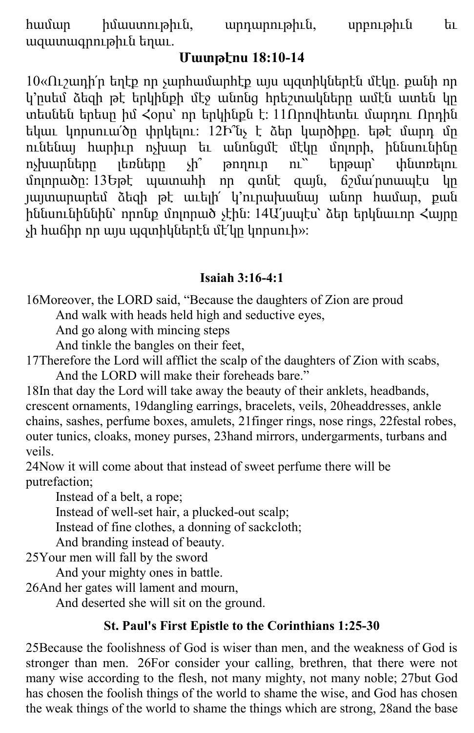| համար | իմաստութիւն,        | արդարութիւն, | սրբութիւն |  |
|-------|---------------------|--------------|-----------|--|
|       | ազատագրութիւն եղաւ. |              |           |  |

## **Մատթէոս 18:10-14**

[10](http://biblehub.com/matthew/18-10.htm)«Ուշադի՛ր եղէք որ չարհամարհէք այս պզտիկներէն մէկը. քանի որ կ՚ըսեմ ձեզի թէ երկինքի մէջ անոնց հրեշտակները ամէն ատեն կը տեսնեն երեսը իմ Հօրս՝ որ երկինքն է: [11](http://biblehub.com/matthew/18-11.htm)Որովհետեւ մարդու Որդին եկաւ կորսուա՛ծը փրկելու: [12](http://biblehub.com/matthew/18-12.htm)Ի՞նչ է ձեր կարծիքը. եթէ մարդ մը ունենայ հարիւր ոչխար եւ անոնցմէ մէկը մոլորի, իննսունինը ոչխարները լեռները չի՞ թողուր ու՝՝ երթար՝ փնտռելու մոլորածը: [13](http://biblehub.com/matthew/18-13.htm)Եթէ պատահի որ գտնէ զայն, ճշմա՛րտապէս կը յայտարարեմ ձեզի թէ աւելի՛ կ՚ուրախանայ անոր համար, քան իննսունիննին՝ որոնք մոլորած չէին: [14](http://biblehub.com/matthew/18-14.htm)Ա՛յսպէս՝ ձեր երկնաւոր Հայրը չի հաճիր որ այս պզտիկներէն մէ՛կը կորսուի»:

## **Isaiah 3:16-4:1**

[16M](http://biblehub.com/isaiah/3-16.htm)oreover, the LORD said, "Because the daughters of Zion are proud And walk with heads held high and seductive eyes,

And go along with mincing steps

And tinkle the bangles on their feet,

[17T](http://biblehub.com/isaiah/3-17.htm)herefore the Lord will afflict the scalp of the daughters of Zion with scabs, And the LORD will make their foreheads bare."

[18I](http://biblehub.com/isaiah/3-18.htm)n that day the Lord will take away the beauty of their anklets, headbands, crescent ornaments, [19d](http://biblehub.com/isaiah/3-19.htm)angling earrings, bracelets, veils, [20h](http://biblehub.com/isaiah/3-20.htm)eaddresses, ankle chains, sashes, perfume boxes, amulets, [21f](http://biblehub.com/isaiah/3-21.htm)inger rings, nose rings, [22f](http://biblehub.com/isaiah/3-22.htm)estal robes, outer tunics, cloaks, money purses, [23h](http://biblehub.com/isaiah/3-23.htm)and mirrors, undergarments, turbans and veils.

[24N](http://biblehub.com/isaiah/3-24.htm)ow it will come about that instead of sweet perfume there will be putrefaction;

Instead of a belt, a rope;

Instead of well-set hair, a plucked-out scalp;

Instead of fine clothes, a donning of sackcloth;

And branding instead of beauty.

[25Y](http://biblehub.com/isaiah/3-25.htm)our men will fall by the sword

And your mighty ones in battle.

[26A](http://biblehub.com/isaiah/3-26.htm)nd her gates will lament and mourn,

And deserted she will sit on the ground.

## **St. Paul's First Epistle to the Corinthians 1:25-30**

[25B](http://biblehub.com/1_corinthians/1-25.htm)ecause the foolishness of God is wiser than men, and the weakness of God is stronger than men. [26F](http://biblehub.com/1_corinthians/1-26.htm)or consider your calling, brethren, that there were not many wise according to the flesh, not many mighty, not many noble; [27b](http://biblehub.com/1_corinthians/1-27.htm)ut God has chosen the foolish things of the world to shame the wise, and God has chosen the weak things of the world to shame the things which are strong, [28a](http://biblehub.com/1_corinthians/1-28.htm)nd the base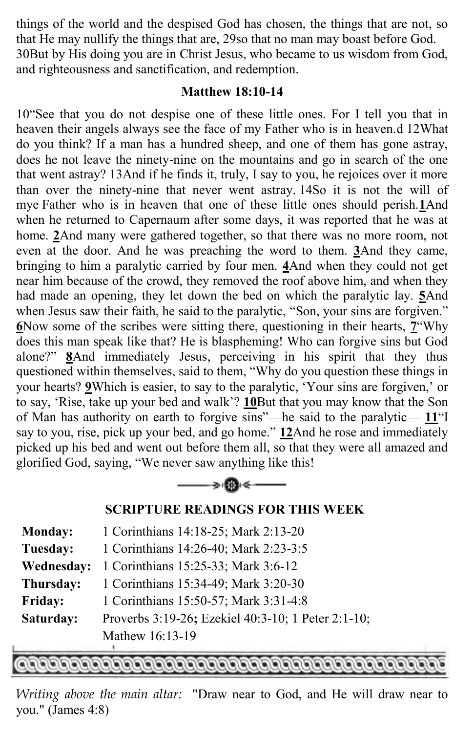things of the world and the despised God has chosen, the things that are not, so that He may nullify the things that are, [29s](http://biblehub.com/1_corinthians/1-29.htm)o that no man may boast before God. [30B](http://biblehub.com/1_corinthians/1-30.htm)ut by His doing you are in Christ Jesus, who became to us wisdom from God, and righteousness and sanctification, and redemption.

#### **Matthew 18:10-14**

[10](http://biblehub.com/matthew/18-10.htm)"See that you do not despise one of these little ones. For I tell you that in heaven their angels always see the face of my Father who is in heaven[.d](http://biblehub.com/esv/matthew/18.htm#footnotes) [12W](http://biblehub.com/matthew/18-12.htm)hat do you think? If a man has a hundred sheep, and one of them has gone astray, does he not leave the ninety-nine on the mountains and go in search of the one that went astray? [13A](http://biblehub.com/matthew/18-13.htm)nd if he finds it, truly, I say to you, he rejoices over it more than over the ninety-nine that never went astray. [14S](http://biblehub.com/matthew/18-14.htm)o it is not the will of m[ye](http://biblehub.com/esv/matthew/18.htm#footnotes) Father who is in heaven that one of these little ones should perish.**[1](http://biblehub.com/mark/2-1.htm)**And when he returned to Capernaum after some days, it was reported that he was at home. **[2](http://biblehub.com/mark/2-2.htm)**And many were gathered together, so that there was no more room, not even at the door. And he was preaching the word to them. **[3](http://biblehub.com/mark/2-3.htm)**And they came, bringing to him a paralytic carried by four men. **[4](http://biblehub.com/mark/2-4.htm)**And when they could not get near him because of the crowd, they removed the roof above him, and when they had made an opening, they let down the bed on which the paralytic lay. **[5](http://biblehub.com/mark/2-5.htm)**And when Jesus saw their faith, he said to the paralytic, "Son, your sins are forgiven." **[6](http://biblehub.com/mark/2-6.htm)**Now some of the scribes were sitting there, questioning in their hearts, **[7](http://biblehub.com/mark/2-7.htm)**"Why does this man speak like that? He is blaspheming! Who can forgive sins but God alone?" **[8](http://biblehub.com/mark/2-8.htm)**And immediately Jesus, perceiving in his spirit that they thus questioned within themselves, said to them, "Why do you question these things in your hearts? **[9](http://biblehub.com/mark/2-9.htm)**Which is easier, to say to the paralytic, 'Your sins are forgiven,' or to say, 'Rise, take up your bed and walk'? **[10](http://biblehub.com/mark/2-10.htm)**But that you may know that the Son of Man has authority on earth to forgive sins"—he said to the paralytic— **[11](http://biblehub.com/mark/2-11.htm)**"I say to you, rise, pick up your bed, and go home." **[12](http://biblehub.com/mark/2-12.htm)**And he rose and immediately picked up his bed and went out before them all, so that they were all amazed and glorified God, saying, "We never saw anything like this!



#### **SCRIPTURE READINGS FOR THIS WEEK**

| <b>Monday:</b> | 1 Corinthians 14:18-25; Mark 2:13-20               |  |  |
|----------------|----------------------------------------------------|--|--|
| Tuesday:       | 1 Corinthians 14:26-40; Mark 2:23-3:5              |  |  |
| Wednesday:     | 1 Corinthians 15:25-33; Mark 3:6-12                |  |  |
| Thursday:      | 1 Corinthians 15:34-49; Mark 3:20-30               |  |  |
| <b>Friday:</b> | 1 Corinthians 15:50-57; Mark 3:31-4:8              |  |  |
| Saturday:      | Proverbs 3:19-26; Ezekiel 40:3-10; 1 Peter 2:1-10; |  |  |
|                | Mathew 16:13-19                                    |  |  |

*Writing above the main altar:* "Draw near to God, and He will draw near to you." (James 4:8)